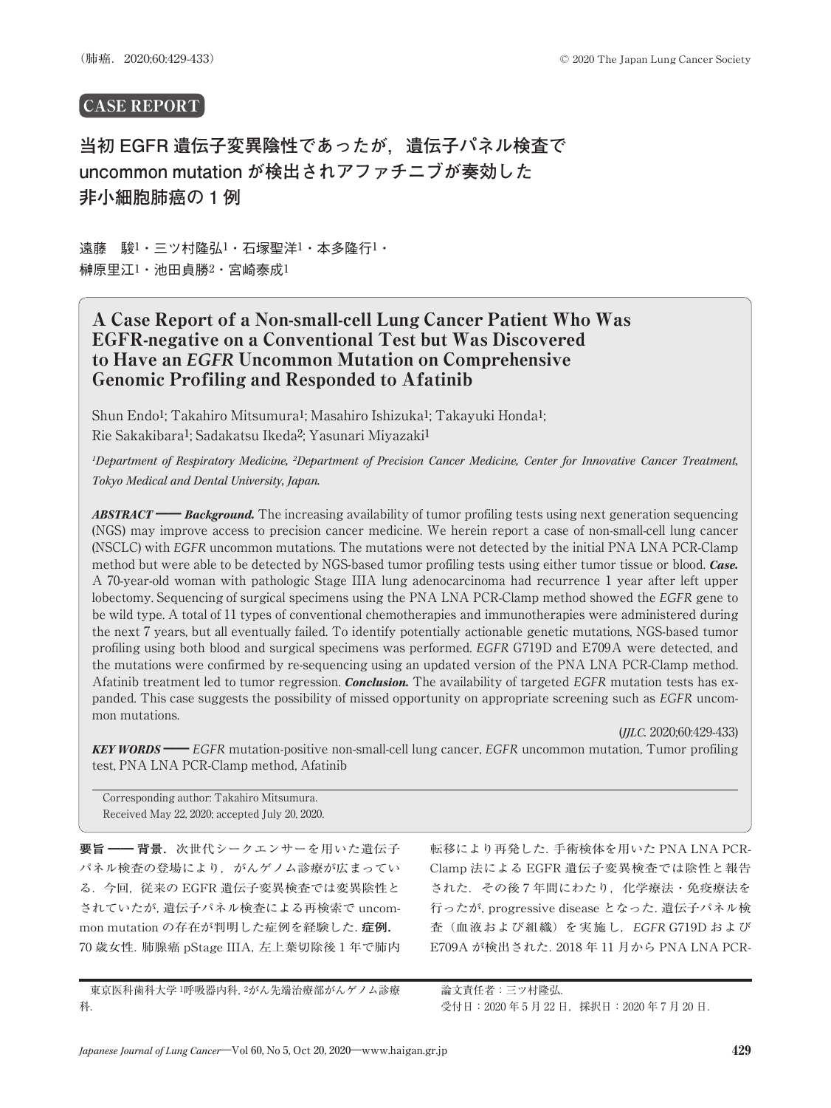# CASE REPORT

**当初 EGFR 遺伝子変異陰性であったが,遺伝子パネル検査で uncommon mutation が検出されアファチニブが奏効した 非小細胞肺癌の 1 例**

遠藤 駿1・三ツ村隆弘1・石塚聖洋1・本多隆行1・ 榊原里江1・池田貞勝2・宮崎泰成1

# A Case Report of a Non-small-cell Lung Cancer Patient Who Was EGFR-negative on a Conventional Test but Was Discovered to Have an *EGFR* Uncommon Mutation on Comprehensive Genomic Profiling and Responded to Afatinib

Shun Endo1; Takahiro Mitsumura1; Masahiro Ishizuka1; Takayuki Honda1; Rie Sakakibara1; Sadakatsu Ikeda2; Yasunari Miyazaki1

<sup>1</sup>Department of Respiratory Medicine, <sup>2</sup>Department of Precision Cancer Medicine, Center for Innovative Cancer Treatment, *Tokyo Medical and Dental University, Japan.*

*ABSTRACT* ━━ *Background.* The increasing availability of tumor profiling tests using next generation sequencing (NGS) may improve access to precision cancer medicine. We herein report a case of non-small-cell lung cancer (NSCLC) with *EGFR* uncommon mutations. The mutations were not detected by the initial PNA LNA PCR-Clamp method but were able to be detected by NGS-based tumor profiling tests using either tumor tissue or blood. *Case.* A 70-year-old woman with pathologic Stage IIIA lung adenocarcinoma had recurrence 1 year after left upper lobectomy. Sequencing of surgical specimens using the PNA LNA PCR-Clamp method showed the *EGFR* gene to be wild type. A total of 11 types of conventional chemotherapies and immunotherapies were administered during the next 7 years, but all eventually failed. To identify potentially actionable genetic mutations, NGS-based tumor profiling using both blood and surgical specimens was performed. *EGFR* G719D and E709A were detected, and the mutations were confirmed by re-sequencing using an updated version of the PNA LNA PCR-Clamp method. Afatinib treatment led to tumor regression. *Conclusion.* The availability of targeted *EGFR* mutation tests has expanded. This case suggests the possibility of missed opportunity on appropriate screening such as *EGFR* uncommon mutations.

(*JJLC.* 2020;60:429-433) *KEY WORDS* ━━ *EGFR* mutation-positive non-small-cell lung cancer, *EGFR* uncommon mutation, Tumor profiling test, PNA LNA PCR-Clamp method, Afatinib

Corresponding author: Takahiro Mitsumura. Received May 22, 2020; accepted July 20, 2020.

**要旨** ━━ **背景**.次世代シークエンサーを用いた遺伝子 パネル検査の登場により,がんゲノム診療が広まってい る.今回,従来の EGFR 遺伝子変異検査では変異陰性と されていたが,遺伝子パネル検査による再検索で uncommon mutation の存在が判明した症例を経験した.**症例**. 70 歳女性.肺腺癌 pStage IIIA,左上葉切除後 1 年で肺内 転移により再発した.手術検体を用いた PNA LNA PCR-Clamp 法による EGFR 遺伝子変異検査では陰性と報告 された. その後7年間にわたり、化学療法·免疫療法を 行ったが,progressive disease となった.遺伝子パネル検 査(血液および組織)を実施し,*EGFR* G719D および E709A が検出された.2018 年 11 月から PNA LNA PCR-

東京医科歯科大学1呼吸器内科, 2がん先端治療部がんゲノム診療 科.

論文責任者:三ツ村隆弘. 受付日: 2020年5月22日, 採択日: 2020年7月20日.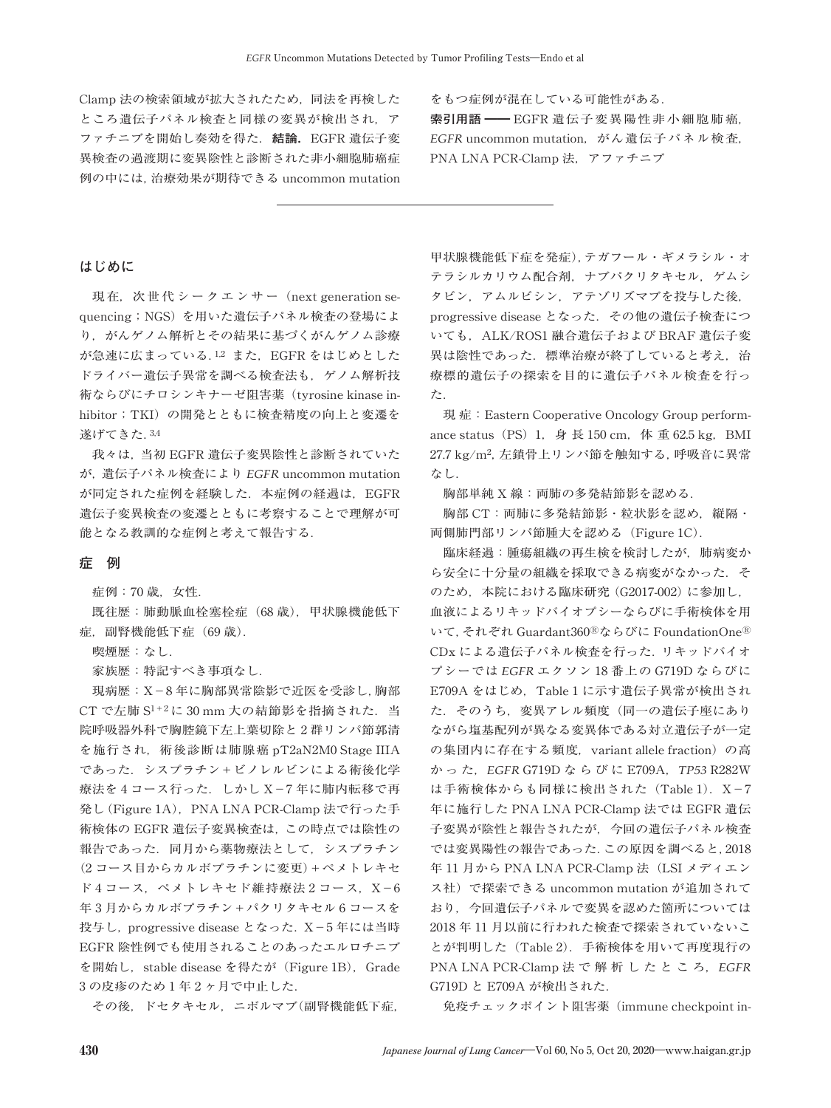Clamp 法の検索領域が拡大されたため,同法を再検した ところ遺伝子パネル検査と同様の変異が検出され、ア ファチニブを開始し奏効を得た.**結論**.EGFR 遺伝子変 異検査の過渡期に変異陰性と診断された非小細胞肺癌症 例の中には,治療効果が期待できる uncommon mutation

をもつ症例が混在している可能性がある. **索引用語** ━━ EGFR 遺伝子変異陽性非小細胞肺癌, *EGFR* uncommon mutation,がん遺伝子パネル検査, PNA LNA PCR-Clamp 法,アファチニブ

### **はじめに**

現在,次世代シークエンサー (next generation sequencing;NGS)を用いた遺伝子パネル検査の登場によ り,がんゲノム解析とその結果に基づくがんゲノム診療 が急速に広まっている.<sup>1,2</sup> また、EGFR をはじめとした ドライバー遺伝子異常を調べる検査法も,ゲノム解析技 術ならびにチロシンキナーゼ阻害薬(tyrosine kinase inhibitor; TKI)の開発とともに検査精度の向上と変遷を 遂げてきた.3,4

我々は,当初 EGFR 遺伝子変異陰性と診断されていた が,遺伝子パネル検査により *EGFR* uncommon mutation が同定された症例を経験した. 本症例の経過は、EGFR 遺伝子変異検査の変遷とともに考察することで理解が可 能となる教訓的な症例と考えて報告する.

#### **症 例**

症例:70 歳,女性.

既往歴:肺動脈血栓塞栓症(68 歳),甲状腺機能低下 症,副腎機能低下症(69 歳).

喫煙歴:なし.

家族歴:特記すべき事項なし.

現病歴:X-8 年に胸部異常陰影で近医を受診し,胸部 CT で左肺 S1+2に 30 mm 大の結節影を指摘された. 当 院呼吸器外科で胸腔鏡下左上葉切除と 2 群リンパ節郭清 を施行され,術後診断は肺腺癌 pT2aN2M0 Stage IIIA であった.シスプラチン+ビノレルビンによる術後化学 療法を4コース行った. しかし X-7年に肺内転移で再 発し (Figure 1A), PNA LNA PCR-Clamp 法で行った手 術検体の EGFR 遺伝子変異検査は,この時点では陰性の 報告であった. 同月から薬物療法として、シスプラチン (2 コース目からカルボプラチンに変更)+ペメトレキセ ド 4 コース, ペメトレキセド維持療法 2 コース, X-6 年 3 月からカルボプラチン+パクリタキセル 6 コースを 投与し, progressive disease となった. X-5年には当時 EGFR 陰性例でも使用されることのあったエルロチニブ を開始し, stable disease を得たが (Figure 1B), Grade 3 の皮疹のため 1 年 2 ヶ月で中止した.

その後,ドセタキセル,ニボルマブ(副腎機能低下症,

甲状腺機能低下症を発症),テガフール・ギメラシル・オ テラシルカリウム配合剤,ナブパクリタキセル,ゲムシ タビン,アムルビシン,アテゾリズマブを投与した後, progressive disease となった.その他の遺伝子検査につ いても、ALK/ROS1 融合遺伝子および BRAF 遺伝子変 異は陰性であった. 標準治療が終了していると考え、治 療標的遺伝子の探索を目的に遺伝子パネル検査を行っ た.

現症: Eastern Cooperative Oncology Group performance status (PS) 1, 身長 150 cm, 体 重 62.5 kg, BMI 27.7 kg/m2,左鎖骨上リンパ節を触知する,呼吸音に異常 なし.

胸部単純 X 線:両肺の多発結節影を認める.

胸部 CT:両肺に多発結節影・粒状影を認め,縦隔・ 両側肺門部リンパ節腫大を認める(Figure 1C).

臨床経過:腫瘍組織の再生検を検討したが,肺病変か ら安全に十分量の組織を採取できる病変がなかった. そ のため,本院における臨床研究(G2017-002)に参加し, 血液によるリキッドバイオプシーならびに手術検体を用 いて,それぞれ Guardant360Ⓡならびに FoundationOneⓇ CDx による遺伝子パネル検査を行った.リキッドバイオ プシーでは *EGFR* エクソン 18 番上の G719D ならびに E709A をはじめ、Table 1 に示す遺伝子異常が検出され た.そのうち,変異アレル頻度(同一の遺伝子座にあり ながら塩基配列が異なる変異体である対立遺伝子が一定 の集団内に存在する頻度, variant allele fraction)の高 か っ た,*EGFR* G719D ならびに E709A,*TP53* R282W は手術検体からも同様に検出された (Table 1). X-7 年に施行した PNA LNA PCR-Clamp 法では EGFR 遺伝 子変異が陰性と報告されたが,今回の遺伝子パネル検査 では変異陽性の報告であった.この原因を調べると,2018 年 11 月から PNA LNA PCR-Clamp 法(LSI メディエン ス社)で探索できる uncommon mutation が追加されて おり,今回遺伝子パネルで変異を認めた箇所については 2018 年 11 月以前に行われた検査で探索されていないこ とが判明した(Table 2).手術検体を用いて再度現行の PNA LNA PCR-Clamp 法 で 解 析 し た と こ ろ,*EGFR* G719D と E709A が検出された.

免疫チェックポイント阻害薬(immune checkpoint in-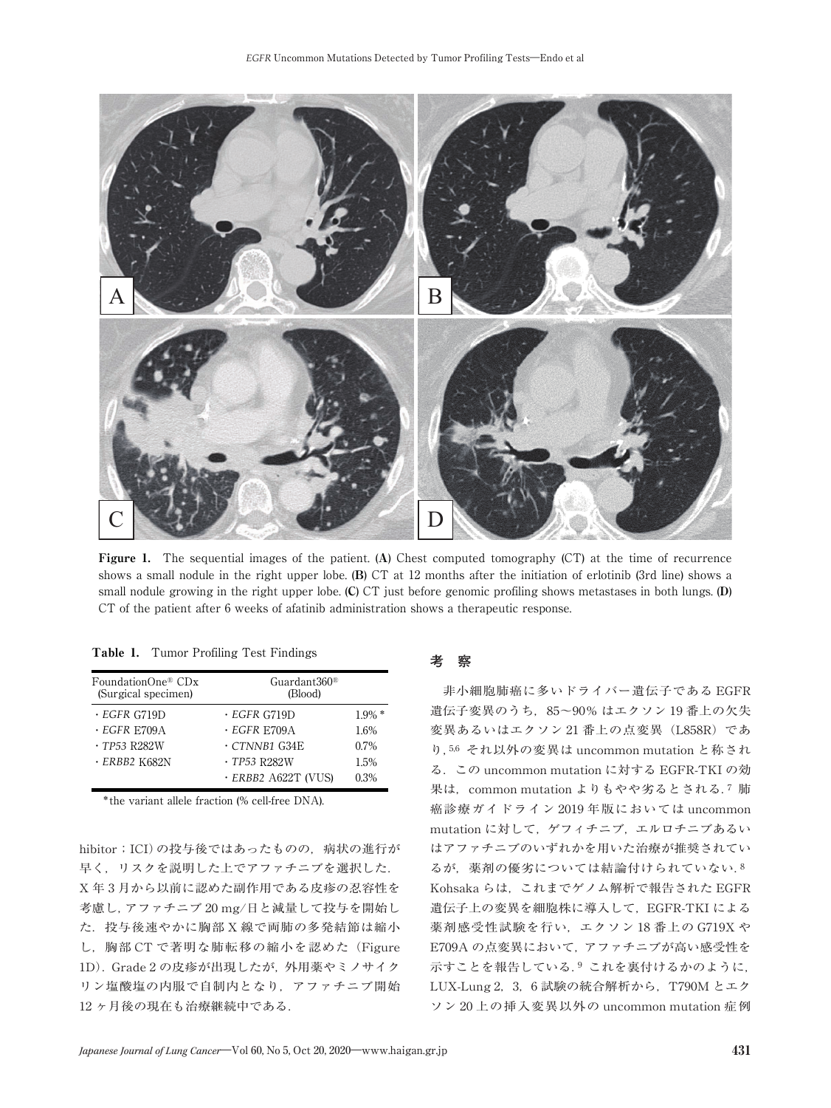

Figure 1. The sequential images of the patient. (A) Chest computed tomography (CT) at the time of recurrence shows a small nodule in the right upper lobe. (B) CT at 12 months after the initiation of erlotinib (3rd line) shows a small nodule growing in the right upper lobe. (C) CT just before genomic profiling shows metastases in both lungs. (D) CT of the patient after 6 weeks of afatinib administration shows a therapeutic response.

|  |  |  | <b>Table 1.</b> Tumor Profiling Test Findings |  |  |
|--|--|--|-----------------------------------------------|--|--|
|--|--|--|-----------------------------------------------|--|--|

| FoundationOne® CDx<br>(Surgical specimen) | Guardant $360^{\circ}$<br>(Blood) |           |  |  |
|-------------------------------------------|-----------------------------------|-----------|--|--|
| $\cdot$ EGFR G719D                        | $\cdot$ EGFR G719D                | $1.9\%$ * |  |  |
| $\cdot$ EGFR E709A                        | $\cdot$ EGFR E709A                | 1.6%      |  |  |
| $\cdot$ TP53 R282W                        | $\cdot$ CTNNB1 G34E               | 0.7%      |  |  |
| $\cdot$ ERBB2 K682N                       | $\cdot$ TP53 R282W                | 1.5%      |  |  |
|                                           | · ERBB2 A622T (VUS)               | 0.3%      |  |  |

\*the variant allele fraction (% cell-free DNA).

hibitor; ICI)の投与後ではあったものの、病状の進行が 早く,リスクを説明した上でアファチニブを選択した. X 年 3 月から以前に認めた副作用である皮疹の忍容性を 考慮し,アファチニブ 20 mg/日と減量して投与を開始し た.投与後速やかに胸部 X 線で両肺の多発結節は縮小 し,胸部 CT で著明な肺転移の縮小を認めた(Figure 1D).Grade 2 の皮疹が出現したが,外用薬やミノサイク リン塩酸塩の内服で自制内となり,アファチニブ開始 12 ヶ月後の現在も治療継続中である.

## **考 察**

非小細胞肺癌に多いドライバー遺伝子である EGFR 遺伝子変異のうち,85~90% はエクソン 19 番上の欠失 変異あるいはエクソン 21 番上の点変異 (L858R) であ り,5,6 それ以外の変異は uncommon mutation と称され る.この uncommon mutation に対する EGFR-TKI の効 果は、common mutation よりもやや劣るとされる.7 肺 癌診療ガイドライン 2019 年版においては uncommon mutation に対して,ゲフィチニブ,エルロチニブあるい はアファチニブのいずれかを用いた治療が推奨されてい るが、薬剤の優劣については結論付けられていない.8 Kohsaka らは,これまでゲノム解析で報告された EGFR 遺伝子上の変異を細胞株に導入して,EGFR-TKI による 薬剤感受性試験を行い,エクソン 18 番上の G719X や E709A の点変異において,アファチニブが高い感受性を 示すことを報告している.<sup>9</sup> これを裏付けるかのように, LUX-Lung 2, 3, 6 試験の統合解析から, T790M とエク ソン 20 上の挿入変異以外の uncommon mutation 症例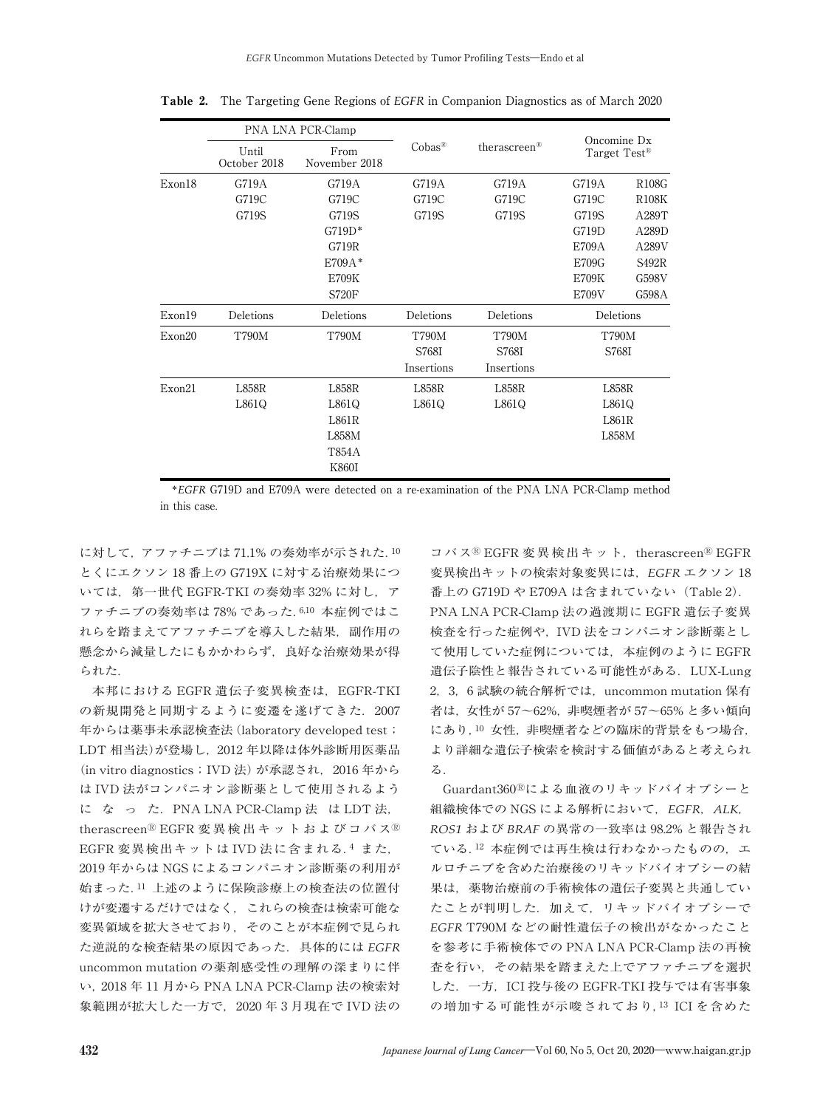|        | PNA LNA PCR-Clamp     |                       |              |              |                                         |              |
|--------|-----------------------|-----------------------|--------------|--------------|-----------------------------------------|--------------|
|        | Until<br>October 2018 | From<br>November 2018 | Cobas®       | therascreen® | Oncomine Dx<br>Target Test <sup>®</sup> |              |
| Exon18 | G719A                 | G719A                 | G719A        | G719A        | G719A                                   | <b>R108G</b> |
|        | G719C                 | G719C                 | G719C        | G719C        | G719C                                   | <b>R108K</b> |
|        | G719S                 | G719S                 | G719S        | G719S        | G719S                                   | A289T        |
|        |                       | $G719D*$              |              |              | G719D                                   | A289D        |
|        |                       | G719R                 |              |              | E709A                                   | A289V        |
|        |                       | $E709A*$              |              |              | E709G                                   | S492R        |
|        |                       | E709K                 |              |              | <b>E709K</b>                            | G598V        |
|        |                       | <b>S720F</b>          |              |              | E709V                                   | G598A        |
| Exon19 | Deletions             | Deletions             | Deletions    | Deletions    | Deletions                               |              |
| Exon20 | <b>T790M</b>          | <b>T790M</b>          | <b>T790M</b> | <b>T790M</b> | <b>T790M</b>                            |              |
|        |                       |                       | S768I        | S768I        | S768I                                   |              |
|        |                       |                       | Insertions   | Insertions   |                                         |              |
| Exon21 | L858R                 | L858R                 | L858R        | L858R        | <b>L858R</b>                            |              |
|        | L861Q                 | L861Q                 | L861Q        | L861Q        | L861Q                                   |              |
|        |                       | L861R                 |              |              | L861R                                   |              |
|        |                       | L858M                 |              |              | L858M                                   |              |
|        |                       | T854A                 |              |              |                                         |              |
|        |                       | K860I                 |              |              |                                         |              |

Table 2. The Targeting Gene Regions of *EGFR* in Companion Diagnostics as of March 2020

\**EGFR* G719D and E709A were detected on a re-examination of the PNA LNA PCR-Clamp method in this case.

に対して,アファチニブは 71.1% の奏効率が示された.<sup>10</sup> とくにエクソン 18 番上の G719X に対する治療効果につ いては、第一世代 EGFR-TKI の奏効率 32% に対し、ア ファチニブの奏効率は 78% であった.6,10 本症例ではこ れらを踏まえてアファチニブを導入した結果,副作用の 懸念から減量したにもかかわらず,良好な治療効果が得 られた.

本邦における EGFR 遺伝子変異検査は、EGFR-TKI の新規開発と同期するように変遷を遂げてきた. 2007 年からは薬事未承認検査法(laboratory developed test; LDT 相当法)が登場し,2012 年以降は体外診断用医薬品 (in vitro diagnostics; IVD法)が承認され、2016年から は IVD 法がコンパニオン診断薬として使用されるよう に な っ た.PNA LNA PCR-Clamp 法 は LDT 法, therascreen<sup>®</sup> EGFR 変異検出キットおよびコバス<sup>®</sup> EGFR 変異検出キットは IVD 法に含まれる.<sup>4</sup> また, 2019 年からは NGS によるコンパニオン診断薬の利用が 始まった.<sup>11</sup> 上述のように保険診療上の検査法の位置付 けが変遷するだけではなく,これらの検査は検索可能な 変異領域を拡大させており,そのことが本症例で見られ た逆説的な検査結果の原因であった.具体的には *EGFR* uncommon mutation の薬剤感受性の理解の深まりに伴 い,2018 年 11 月から PNA LNA PCR-Clamp 法の検索対 象範囲が拡大した一方で,2020 年 3 月現在で IVD 法の

コバス® EGFR 変異検出キット, therascreen® EGFR 変異検出キットの検索対象変異には,*EGFR* エクソン 18 番上の G719D や E709A は含まれていない(Table 2). PNA LNA PCR-Clamp 法の過渡期に EGFR 遺伝子変異 検査を行った症例や,IVD 法をコンパニオン診断薬とし て使用していた症例については,本症例のように EGFR 遺伝子陰性と報告されている可能性がある. LUX-Lung 2,3,6 試験の統合解析では,uncommon mutation 保有 者は,女性が 57~62%,非喫煙者が 57~65% と多い傾向 にあり,<sup>10</sup> 女性,非喫煙者などの臨床的背景をもつ場合, より詳細な遺伝子検索を検討する価値があると考えられ る.

Guardant360Ⓡによる血液のリキッドバイオプシーと 組織検体での NGS による解析において,*EGFR*,*ALK*, *ROS1* および *BRAF* の異常の一致率は 98.2% と報告され ている.12 本症例では再生検は行わなかったものの、エ ルロチニブを含めた治療後のリキッドバイオプシーの結 果は,薬物治療前の手術検体の遺伝子変異と共通してい たことが判明した. 加えて、リキッドバイオプシーで *EGFR* T790M などの耐性遺伝子の検出がなかったこと を参考に手術検体での PNA LNA PCR-Clamp 法の再検 査を行い,その結果を踏まえた上でアファチニブを選択 した.一方,ICI 投与後の EGFR-TKI 投与では有害事象 の増加する可能性が示唆されており,<sup>13</sup> ICI を含めた